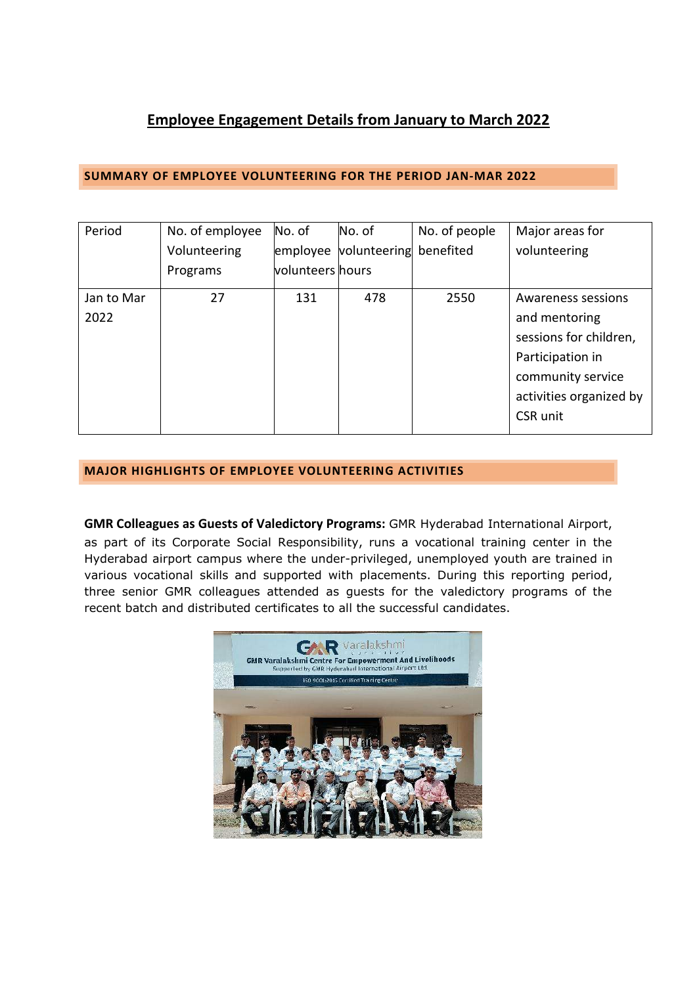## **Employee Engagement Details from January to March 2022**

## **SUMMARY OF EMPLOYEE VOLUNTEERING FOR THE PERIOD JAN-MAR 2022**

| Period     | No. of employee | No. of           | No. of                          | No. of people | Major areas for         |
|------------|-----------------|------------------|---------------------------------|---------------|-------------------------|
|            | Volunteering    |                  | employee volunteering benefited |               | volunteering            |
|            | Programs        | volunteers hours |                                 |               |                         |
| Jan to Mar | 27              | 131              | 478                             | 2550          | Awareness sessions      |
| 2022       |                 |                  |                                 |               | and mentoring           |
|            |                 |                  |                                 |               | sessions for children,  |
|            |                 |                  |                                 |               | Participation in        |
|            |                 |                  |                                 |               | community service       |
|            |                 |                  |                                 |               | activities organized by |
|            |                 |                  |                                 |               | CSR unit                |
|            |                 |                  |                                 |               |                         |

## **MAJOR HIGHLIGHTS OF EMPLOYEE VOLUNTEERING ACTIVITIES**

**GMR Colleagues as Guests of Valedictory Programs:** GMR Hyderabad International Airport, as part of its Corporate Social Responsibility, runs a vocational training center in the Hyderabad airport campus where the under-privileged, unemployed youth are trained in various vocational skills and supported with placements. During this reporting period, three senior GMR colleagues attended as guests for the valedictory programs of the recent batch and distributed certificates to all the successful candidates.